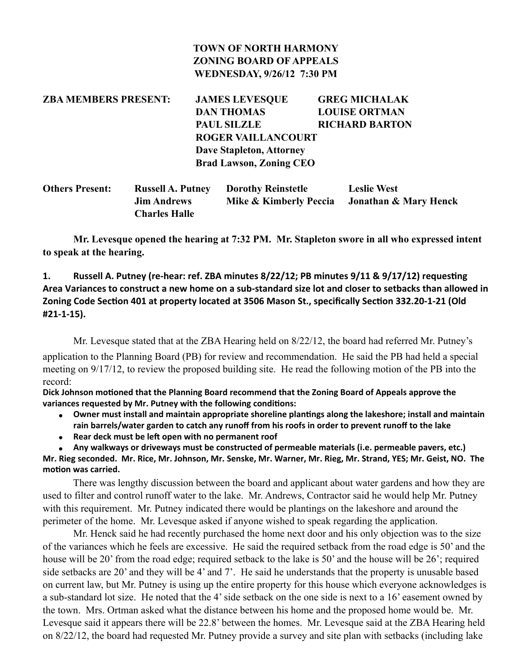## **TOWN OF NORTH HARMONY ZONING BOARD OF APPEALS WEDNESDAY, 9/26/12 7:30 PM**

**ZBA MEMBERS PRESENT: JAMES LEVESQUE GREG MICHALAK DAN THOMAS** LOUISE ORTMAN **PAUL SILZLE RICHARD BARTON ROGER VAILLANCOURT Dave Stapleton, Attorney Brad Lawson, Zoning CEO**

**Others Present: Russell A. Putney Dorothy Reinstetle Leslie West Jim Andrews Mike & Kimberly Peccia Jonathan & Mary Henck Charles Halle**

 **Mr. Levesque opened the hearing at 7:32 PM. Mr. Stapleton swore in all who expressed intent to speak at the hearing.**

**1.** Russell A. Putney (re-hear: ref. ZBA minutes 8/22/12; PB minutes 9/11 & 9/17/12) requesting **Area Variances to construct a new home on a sub-standard size lot and closer to setbacks than allowed in Zoning Code Section 401 at property located at 3506 Mason St., specifically Section 332.20-1-21 (Old #21-1-15).**

Mr. Levesque stated that at the ZBA Hearing held on 8/22/12, the board had referred Mr. Putney's application to the Planning Board (PB) for review and recommendation. He said the PB had held a special meeting on 9/17/12, to review the proposed building site. He read the following motion of the PB into the record:

Dick Johnson motioned that the Planning Board recommend that the Zoning Board of Appeals approve the variances requested by Mr. Putney with the following conditions:

- Owner must install and maintain appropriate shoreline plantings along the lakeshore; install and maintain **rain barrels/water garden to catch any runoff from his roofs in order to prevent runoff to the lake**
- Rear deck must be left open with no permanent roof
- **Any walkways or driveways must be constructed of permeable materials (i.e. permeable pavers, etc.)**

**Mr. Rieg seconded. Mr. Rice, Mr. Johnson, Mr. Senske, Mr. Warner, Mr. Rieg, Mr. Strand, YES; Mr. Geist, NO. The**  motion was carried.

 There was lengthy discussion between the board and applicant about water gardens and how they are used to filter and control runoff water to the lake. Mr. Andrews, Contractor said he would help Mr. Putney with this requirement. Mr. Putney indicated there would be plantings on the lakeshore and around the perimeter of the home. Mr. Levesque asked if anyone wished to speak regarding the application.

 Mr. Henck said he had recently purchased the home next door and his only objection was to the size of the variances which he feels are excessive. He said the required setback from the road edge is 50' and the house will be 20' from the road edge; required setback to the lake is 50' and the house will be 26'; required side setbacks are 20' and they will be 4' and 7'. He said he understands that the property is unusable based on current law, but Mr. Putney is using up the entire property for this house which everyone acknowledges is a sub-standard lot size. He noted that the 4' side setback on the one side is next to a 16' easement owned by the town. Mrs. Ortman asked what the distance between his home and the proposed home would be. Mr. Levesque said it appears there will be 22.8' between the homes. Mr. Levesque said at the ZBA Hearing held on 8/22/12, the board had requested Mr. Putney provide a survey and site plan with setbacks (including lake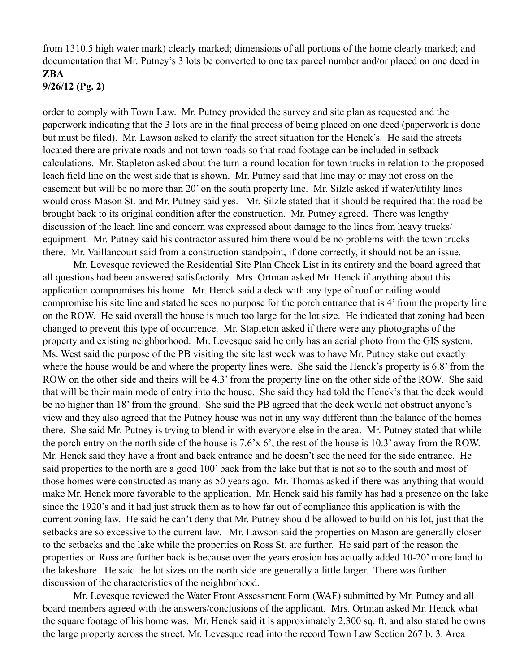from 1310.5 high water mark) clearly marked; dimensions of all portions of the home clearly marked; and documentation that Mr. Putney's 3 lots be converted to one tax parcel number and/or placed on one deed in **ZBA**

## **9/26/12 (Pg. 2)**

order to comply with Town Law. Mr. Putney provided the survey and site plan as requested and the paperwork indicating that the 3 lots are in the final process of being placed on one deed (paperwork is done but must be filed). Mr. Lawson asked to clarify the street situation for the Henck's. He said the streets located there are private roads and not town roads so that road footage can be included in setback calculations. Mr. Stapleton asked about the turn-a-round location for town trucks in relation to the proposed leach field line on the west side that is shown. Mr. Putney said that line may or may not cross on the easement but will be no more than 20' on the south property line. Mr. Silzle asked if water/utility lines would cross Mason St. and Mr. Putney said yes. Mr. Silzle stated that it should be required that the road be brought back to its original condition after the construction. Mr. Putney agreed. There was lengthy discussion of the leach line and concern was expressed about damage to the lines from heavy trucks/ equipment. Mr. Putney said his contractor assured him there would be no problems with the town trucks there. Mr. Vaillancourt said from a construction standpoint, if done correctly, it should not be an issue.

 Mr. Levesque reviewed the Residential Site Plan Check List in its entirety and the board agreed that all questions had been answered satisfactorily. Mrs. Ortman asked Mr. Henck if anything about this application compromises his home. Mr. Henck said a deck with any type of roof or railing would compromise his site line and stated he sees no purpose for the porch entrance that is 4' from the property line on the ROW. He said overall the house is much too large for the lot size. He indicated that zoning had been changed to prevent this type of occurrence. Mr. Stapleton asked if there were any photographs of the property and existing neighborhood. Mr. Levesque said he only has an aerial photo from the GIS system. Ms. West said the purpose of the PB visiting the site last week was to have Mr. Putney stake out exactly where the house would be and where the property lines were. She said the Henck's property is 6.8' from the ROW on the other side and theirs will be 4.3' from the property line on the other side of the ROW. She said that will be their main mode of entry into the house. She said they had told the Henck's that the deck would be no higher than 18' from the ground. She said the PB agreed that the deck would not obstruct anyone's view and they also agreed that the Putney house was not in any way different than the balance of the homes there. She said Mr. Putney is trying to blend in with everyone else in the area. Mr. Putney stated that while the porch entry on the north side of the house is 7.6'x 6', the rest of the house is 10.3' away from the ROW. Mr. Henck said they have a front and back entrance and he doesn't see the need for the side entrance. He said properties to the north are a good 100' back from the lake but that is not so to the south and most of those homes were constructed as many as 50 years ago. Mr. Thomas asked if there was anything that would make Mr. Henck more favorable to the application. Mr. Henck said his family has had a presence on the lake since the 1920's and it had just struck them as to how far out of compliance this application is with the current zoning law. He said he can't deny that Mr. Putney should be allowed to build on his lot, just that the setbacks are so excessive to the current law. Mr. Lawson said the properties on Mason are generally closer to the setbacks and the lake while the properties on Ross St. are further. He said part of the reason the properties on Ross are further back is because over the years erosion has actually added 10-20' more land to the lakeshore. He said the lot sizes on the north side are generally a little larger. There was further discussion of the characteristics of the neighborhood.

 Mr. Levesque reviewed the Water Front Assessment Form (WAF) submitted by Mr. Putney and all board members agreed with the answers/conclusions of the applicant. Mrs. Ortman asked Mr. Henck what the square footage of his home was. Mr. Henck said it is approximately 2,300 sq. ft. and also stated he owns the large property across the street. Mr. Levesque read into the record Town Law Section 267 b. 3. Area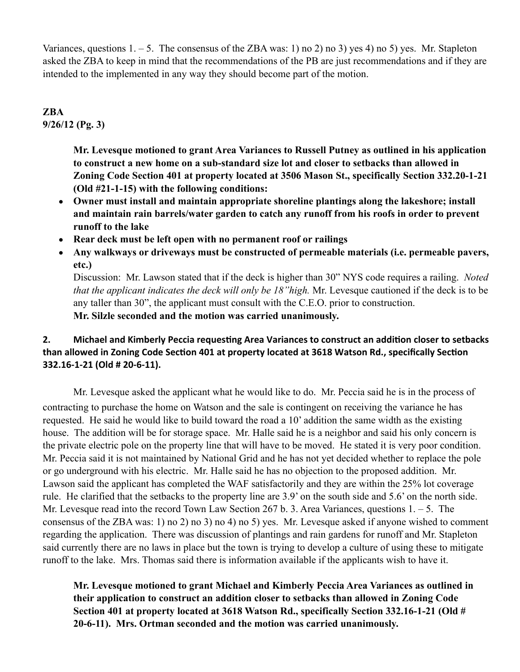Variances, questions  $1, -5$ . The consensus of the ZBA was: 1) no 2) no 3) yes 4) no 5) yes. Mr. Stapleton asked the ZBA to keep in mind that the recommendations of the PB are just recommendations and if they are intended to the implemented in any way they should become part of the motion.

**ZBA 9/26/12 (Pg. 3)**

> **Mr. Levesque motioned to grant Area Variances to Russell Putney as outlined in his application to construct a new home on a sub-standard size lot and closer to setbacks than allowed in Zoning Code Section 401 at property located at 3506 Mason St., specifically Section 332.20-1-21 (Old #21-1-15) with the following conditions:**

- **Owner must install and maintain appropriate shoreline plantings along the lakeshore; install and maintain rain barrels/water garden to catch any runoff from his roofs in order to prevent runoff to the lake**
- **Rear deck must be left open with no permanent roof or railings**
- **Any walkways or driveways must be constructed of permeable materials (i.e. permeable pavers, etc.)**

Discussion: Mr. Lawson stated that if the deck is higher than 30" NYS code requires a railing. *Noted that the applicant indicates the deck will only be 18"high.* Mr. Levesque cautioned if the deck is to be any taller than 30", the applicant must consult with the C.E.O. prior to construction. **Mr. Silzle seconded and the motion was carried unanimously.**

## **2. Michael and Kimberly Peccia requesting Area Variances to construct an addition closer to setbacks** than allowed in Zoning Code Section 401 at property located at 3618 Watson Rd., specifically Section **332.16-1-21 (Old # 20-6-11).**

Mr. Levesque asked the applicant what he would like to do. Mr. Peccia said he is in the process of contracting to purchase the home on Watson and the sale is contingent on receiving the variance he has requested. He said he would like to build toward the road a 10' addition the same width as the existing house. The addition will be for storage space. Mr. Halle said he is a neighbor and said his only concern is the private electric pole on the property line that will have to be moved. He stated it is very poor condition. Mr. Peccia said it is not maintained by National Grid and he has not yet decided whether to replace the pole or go underground with his electric. Mr. Halle said he has no objection to the proposed addition. Mr. Lawson said the applicant has completed the WAF satisfactorily and they are within the 25% lot coverage rule. He clarified that the setbacks to the property line are 3.9' on the south side and 5.6' on the north side. Mr. Levesque read into the record Town Law Section 267 b. 3. Area Variances, questions 1. – 5. The consensus of the ZBA was: 1) no 2) no 3) no 4) no 5) yes. Mr. Levesque asked if anyone wished to comment regarding the application. There was discussion of plantings and rain gardens for runoff and Mr. Stapleton said currently there are no laws in place but the town is trying to develop a culture of using these to mitigate runoff to the lake. Mrs. Thomas said there is information available if the applicants wish to have it.

**Mr. Levesque motioned to grant Michael and Kimberly Peccia Area Variances as outlined in their application to construct an addition closer to setbacks than allowed in Zoning Code Section 401 at property located at 3618 Watson Rd., specifically Section 332.16-1-21 (Old # 20-6-11). Mrs. Ortman seconded and the motion was carried unanimously.**